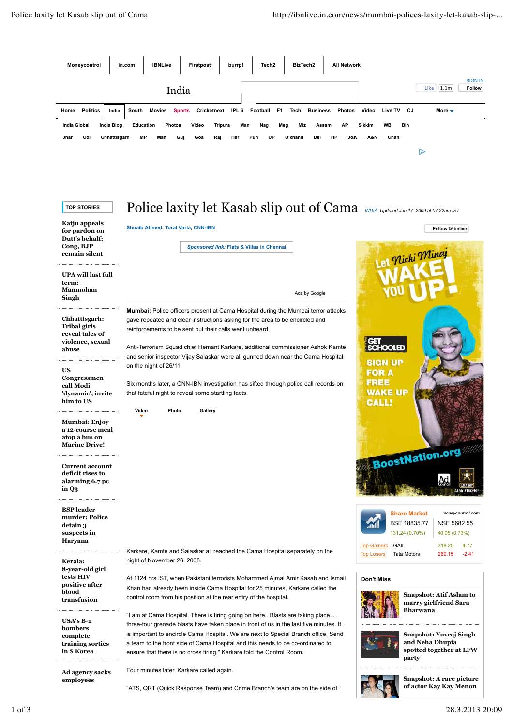

#### **US**

**Congressmen call Modi 'dynamic', invite him to US**

**Mumbai: Enjoy a 12-course meal atop a bus on Marine Drive!**

**Current account deficit rises to alarming 6.7 pc in Q3**

**BSP leader murder: Police detain 3 suspects in Haryana**

**Kerala: 8-year-old girl tests HIV positive after blood transfusion**

**USA's B-2 bombers complete training sorties in S Korea**

**Ad agency sacks employees**

Karkare, Kamte and Salaskar all reached the Cama Hospital separately on the night of November 26, 2008.

Six months later, a CNN-IBN investigation has sifted through police call records on

At 1124 hrs IST, when Pakistani terrorists Mohammed Ajmal Amir Kasab and Ismail Khan had already been inside Cama Hospital for 25 minutes, Karkare called the control room from his position at the rear entry of the hospital.

"I am at Cama Hospital. There is firing going on here.. Blasts are taking place... three-four grenade blasts have taken place in front of us in the last five minutes. It is important to encircle Cama Hospital. We are next to Special Branch office. Send a team to the front side of Cama Hospital and this needs to be co-ordinated to ensure that there is no cross firing," Karkare told the Control Room.

Four minutes later, Karkare called again.

**Photo Gallery**

that fateful night to reveal some startling facts.

**Video**

"ATS, QRT (Quick Response Team) and Crime Branch's team are on the side of

BoostNation.org **Share Market** *moneycontrol.com* BSE 18835.77 NSE 5682.55 131.24 (0.70%) 40.95 (0.73%) Top Gainers GAIL 318.25 4.77 Top Losers Tata Motors 269.15 -2.41

#### **Don't Miss**



**FOR A FREE WAKE UP CALL!** 

> **Snapshot: Atif Aslam to marry girlfriend Sara Bharwana**



**Snapshot: Yuvraj Singh and Neha Dhupia spotted together at LFW party**



**Snapshot: A rare picture of actor Kay Kay Menon**